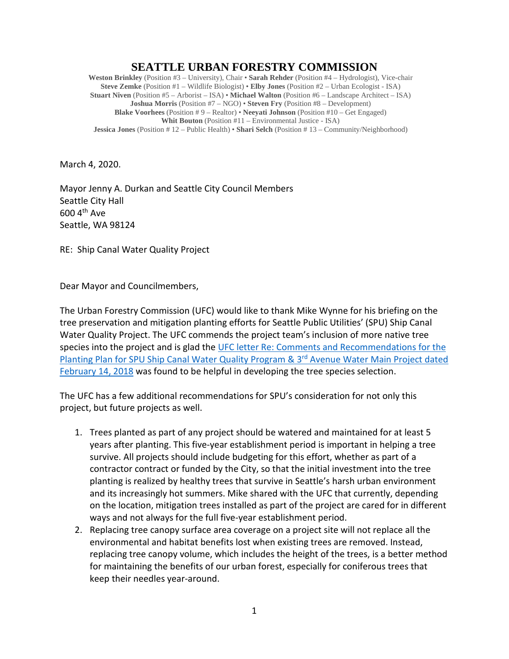## **SEATTLE URBAN FORESTRY COMMISSION**

**Weston Brinkley** (Position #3 – University), Chair • **Sarah Rehder** (Position #4 – Hydrologist), Vice-chair **Steve Zemke** (Position #1 – Wildlife Biologist) • **Elby Jones** (Position #2 – Urban Ecologist - ISA) **Stuart Niven** (Position #5 – Arborist – ISA) • **Michael Walton** (Position #6 – Landscape Architect – ISA) **Joshua Morris** (Position #7 – NGO) • **Steven Fry** (Position #8 – Development) **Blake Voorhees** (Position # 9 – Realtor) • **Neeyati Johnson** (Position #10 – Get Engaged) **Whit Bouton** (Position #11 – Environmental Justice - ISA) **Jessica Jones** (Position # 12 – Public Health) • **Shari Selch** (Position # 13 – Community/Neighborhood)

March 4, 2020.

Mayor Jenny A. Durkan and Seattle City Council Members Seattle City Hall 600 4th Ave Seattle, WA 98124

RE: Ship Canal Water Quality Project

Dear Mayor and Councilmembers,

The Urban Forestry Commission (UFC) would like to thank Mike Wynne for his briefing on the tree preservation and mitigation planting efforts for Seattle Public Utilities' (SPU) Ship Canal Water Quality Project. The UFC commends the project team's inclusion of more native tree species into the project and is glad the [UFC letter Re: Comments and Recommendations for the](http://www.seattle.gov/Documents/Departments/UrbanForestryCommission/FinalIssuedDocuments/Recommendations/ADOPTEDCommentsSPUplantingPlans021418.pdf)  Planting Plan for SPU Ship Canal Water Quality Program & 3<sup>rd</sup> Avenue Water Main Project dated [February 14, 2018](http://www.seattle.gov/Documents/Departments/UrbanForestryCommission/FinalIssuedDocuments/Recommendations/ADOPTEDCommentsSPUplantingPlans021418.pdf) was found to be helpful in developing the tree species selection.

The UFC has a few additional recommendations for SPU's consideration for not only this project, but future projects as well.

- 1. Trees planted as part of any project should be watered and maintained for at least 5 years after planting. This five-year establishment period is important in helping a tree survive. All projects should include budgeting for this effort, whether as part of a contractor contract or funded by the City, so that the initial investment into the tree planting is realized by healthy trees that survive in Seattle's harsh urban environment and its increasingly hot summers. Mike shared with the UFC that currently, depending on the location, mitigation trees installed as part of the project are cared for in different ways and not always for the full five-year establishment period.
- 2. Replacing tree canopy surface area coverage on a project site will not replace all the environmental and habitat benefits lost when existing trees are removed. Instead, replacing tree canopy volume, which includes the height of the trees, is a better method for maintaining the benefits of our urban forest, especially for coniferous trees that keep their needles year-around.